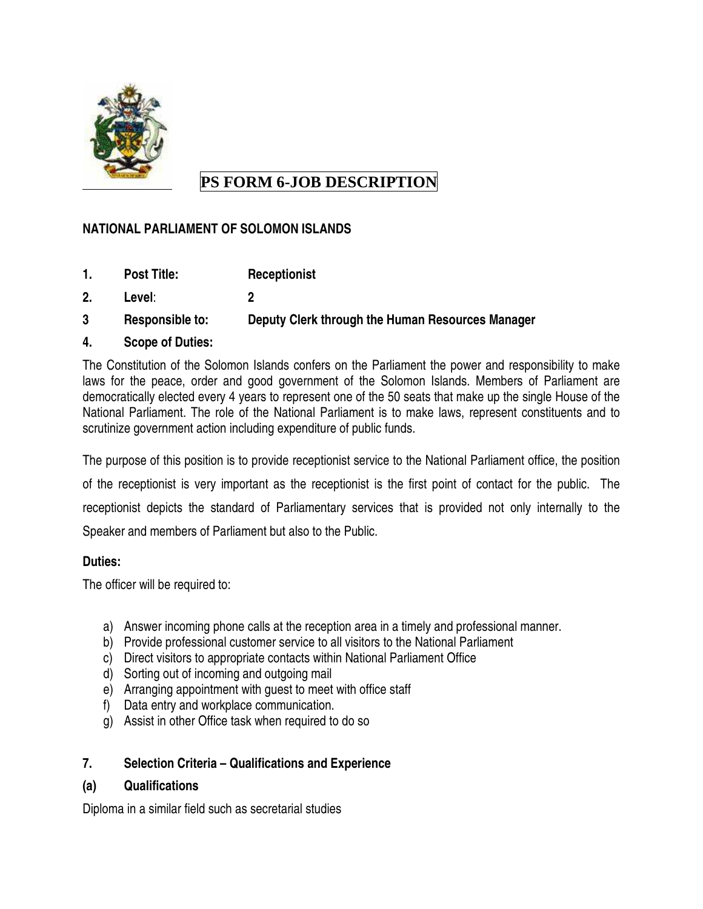

# **PS FORM 6-JOB DESCRIPTION**

# **NATIONAL PARLIAMENT OF SOLOMON ISLANDS**

- **1. Post Title: Receptionist**
- **2. Level**: **2**
- **3 Responsible to: Deputy Clerk through the Human Resources Manager**
- **4. Scope of Duties:**

The Constitution of the Solomon Islands confers on the Parliament the power and responsibility to make laws for the peace, order and good government of the Solomon Islands. Members of Parliament are democratically elected every 4 years to represent one of the 50 seats that make up the single House of the National Parliament. The role of the National Parliament is to make laws, represent constituents and to scrutinize government action including expenditure of public funds.

The purpose of this position is to provide receptionist service to the National Parliament office, the position of the receptionist is very important as the receptionist is the first point of contact for the public. The receptionist depicts the standard of Parliamentary services that is provided not only internally to the Speaker and members of Parliament but also to the Public.

# **Duties:**

The officer will be required to:

- a) Answer incoming phone calls at the reception area in a timely and professional manner.
- b) Provide professional customer service to all visitors to the National Parliament
- c) Direct visitors to appropriate contacts within National Parliament Office
- d) Sorting out of incoming and outgoing mail
- e) Arranging appointment with guest to meet with office staff
- f) Data entry and workplace communication.
- g) Assist in other Office task when required to do so

# **7. Selection Criteria – Qualifications and Experience**

# **(a) Qualifications**

Diploma in a similar field such as secretarial studies